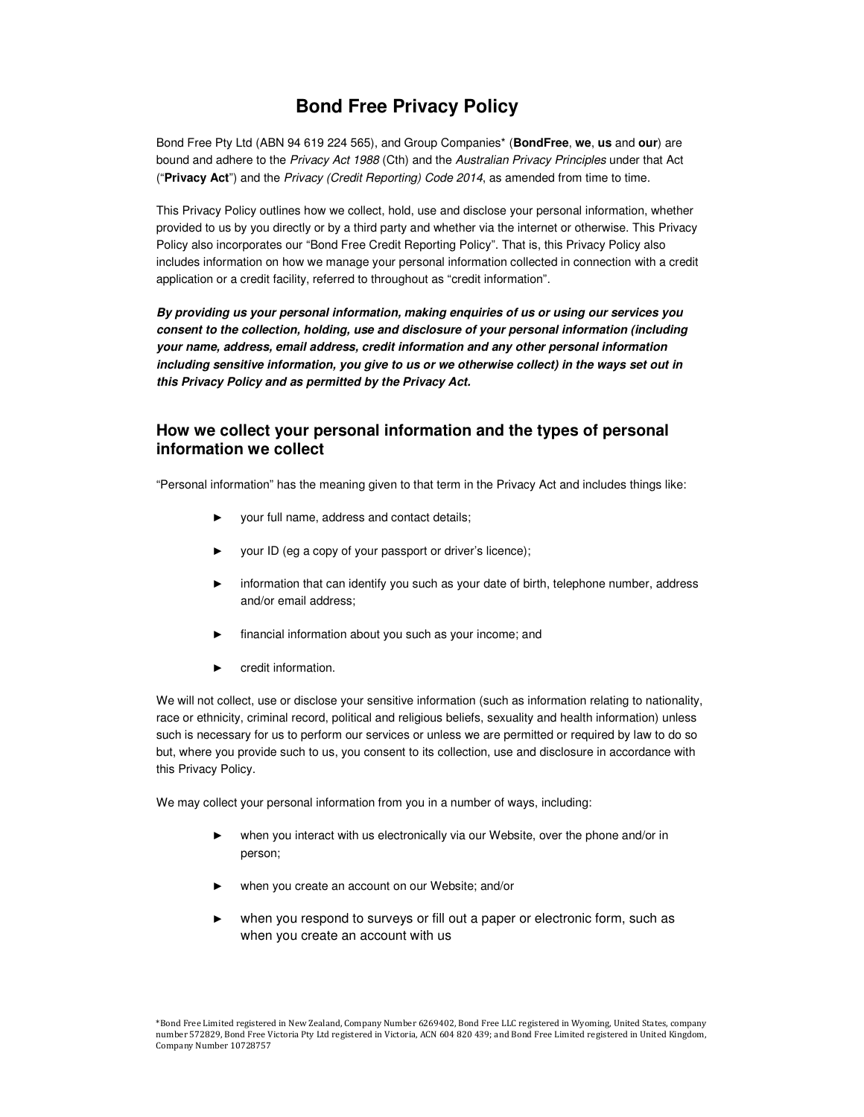# **Bond Free Privacy Policy**

Bond Free Pty Ltd (ABN 94 619 224 565), and Group Companies\* (**BondFree**, **we**, **us** and **our**) are bound and adhere to the Privacy Act 1988 (Cth) and the Australian Privacy Principles under that Act ("**Privacy Act**") and the Privacy (Credit Reporting) Code 2014, as amended from time to time.

This Privacy Policy outlines how we collect, hold, use and disclose your personal information, whether provided to us by you directly or by a third party and whether via the internet or otherwise. This Privacy Policy also incorporates our "Bond Free Credit Reporting Policy". That is, this Privacy Policy also includes information on how we manage your personal information collected in connection with a credit application or a credit facility, referred to throughout as "credit information".

**By providing us your personal information, making enquiries of us or using our services you consent to the collection, holding, use and disclosure of your personal information (including your name, address, email address, credit information and any other personal information including sensitive information, you give to us or we otherwise collect) in the ways set out in this Privacy Policy and as permitted by the Privacy Act.** 

# **How we collect your personal information and the types of personal information we collect**

"Personal information" has the meaning given to that term in the Privacy Act and includes things like:

- your full name, address and contact details;
- your ID (eg a copy of your passport or driver's licence);
- information that can identify you such as your date of birth, telephone number, address and/or email address;
- financial information about you such as your income; and
- credit information.

We will not collect, use or disclose your sensitive information (such as information relating to nationality, race or ethnicity, criminal record, political and religious beliefs, sexuality and health information) unless such is necessary for us to perform our services or unless we are permitted or required by law to do so but, where you provide such to us, you consent to its collection, use and disclosure in accordance with this Privacy Policy.

We may collect your personal information from you in a number of ways, including:

- when you interact with us electronically via our Website, over the phone and/or in person;
- when you create an account on our Website; and/or
- when you respond to surveys or fill out a paper or electronic form, such as when you create an account with us

<sup>\*</sup>Bond Free Limited registered in New Zealand, Company Number 6269402, Bond Free LLC registered in Wyoming, United States, company number 572829, Bond Free Victoria Pty Ltd registered in Victoria, ACN 604 820 439; and Bond Free Limited registered in United Kingdom, Company Number 10728757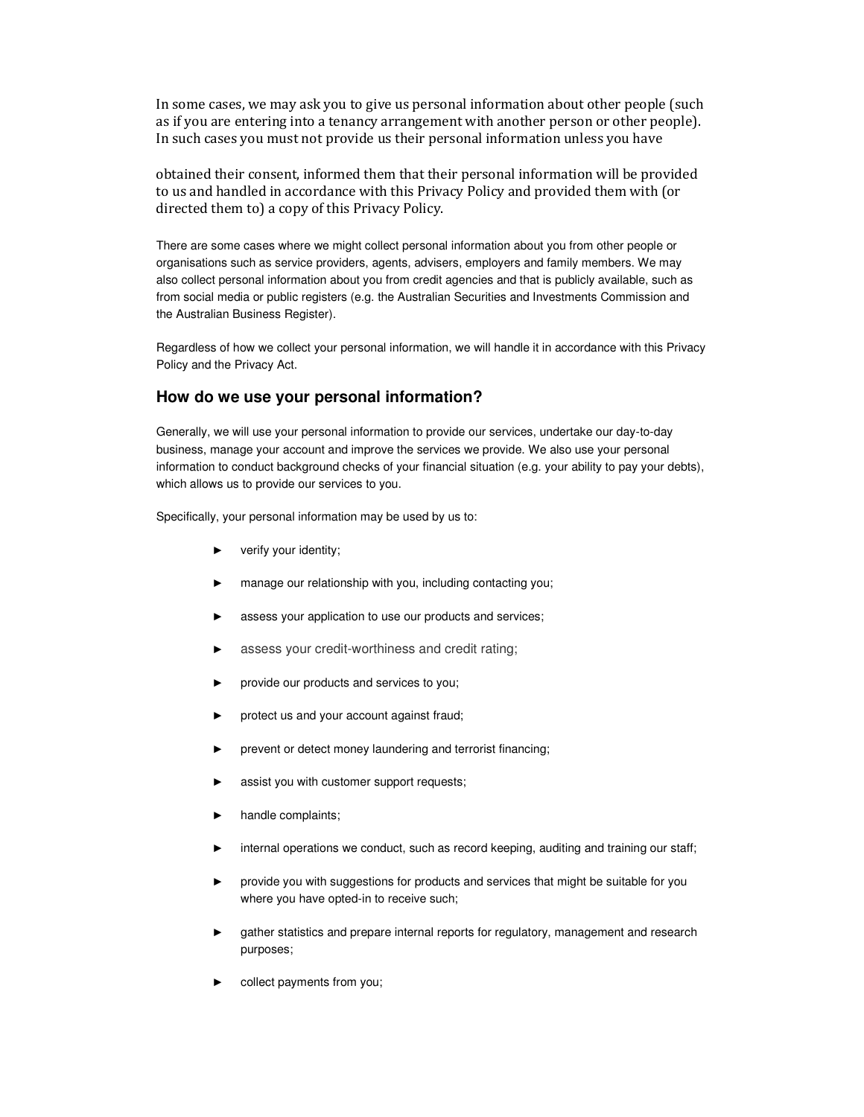In some cases, we may ask you to give us personal information about other people (such as if you are entering into a tenancy arrangement with another person or other people). In such cases you must not provide us their personal information unless you have

obtained their consent, informed them that their personal information will be provided to us and handled in accordance with this Privacy Policy and provided them with (or directed them to) a copy of this Privacy Policy.

There are some cases where we might collect personal information about you from other people or organisations such as service providers, agents, advisers, employers and family members. We may also collect personal information about you from credit agencies and that is publicly available, such as from social media or public registers (e.g. the Australian Securities and Investments Commission and the Australian Business Register).

Regardless of how we collect your personal information, we will handle it in accordance with this Privacy Policy and the Privacy Act.

## **How do we use your personal information?**

Generally, we will use your personal information to provide our services, undertake our day-to-day business, manage your account and improve the services we provide. We also use your personal information to conduct background checks of your financial situation (e.g. your ability to pay your debts), which allows us to provide our services to you.

Specifically, your personal information may be used by us to:

- ► verify your identity;
- manage our relationship with you, including contacting you;
- assess your application to use our products and services;
- assess your credit-worthiness and credit rating;
- provide our products and services to you;
- protect us and your account against fraud;
- prevent or detect money laundering and terrorist financing;
- assist you with customer support requests;
- handle complaints;
- internal operations we conduct, such as record keeping, auditing and training our staff;
- provide you with suggestions for products and services that might be suitable for you where you have opted-in to receive such;
- gather statistics and prepare internal reports for regulatory, management and research purposes;
- collect payments from you;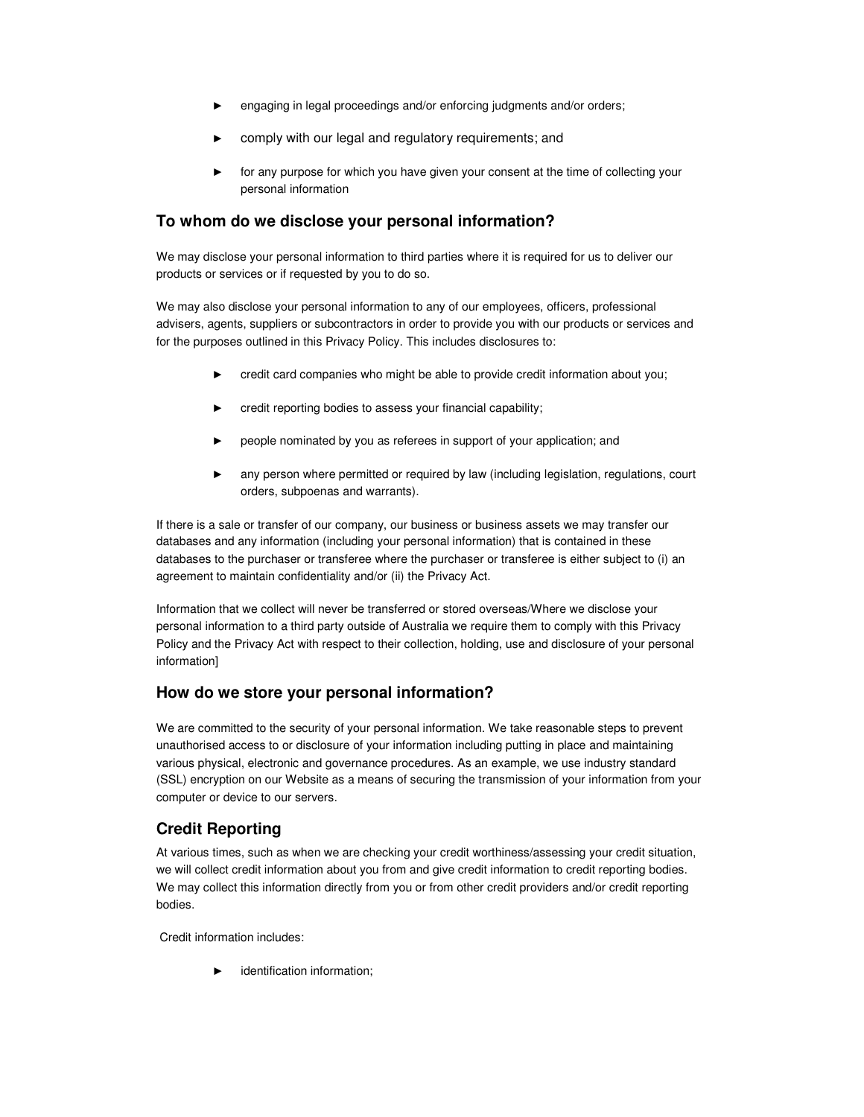- engaging in legal proceedings and/or enforcing judgments and/or orders;
- comply with our legal and regulatory requirements; and
- for any purpose for which you have given your consent at the time of collecting your personal information

# **To whom do we disclose your personal information?**

We may disclose your personal information to third parties where it is required for us to deliver our products or services or if requested by you to do so.

We may also disclose your personal information to any of our employees, officers, professional advisers, agents, suppliers or subcontractors in order to provide you with our products or services and for the purposes outlined in this Privacy Policy. This includes disclosures to:

- ► credit card companies who might be able to provide credit information about you;
- credit reporting bodies to assess your financial capability;
- people nominated by you as referees in support of your application; and
- any person where permitted or required by law (including legislation, regulations, court orders, subpoenas and warrants).

If there is a sale or transfer of our company, our business or business assets we may transfer our databases and any information (including your personal information) that is contained in these databases to the purchaser or transferee where the purchaser or transferee is either subject to (i) an agreement to maintain confidentiality and/or (ii) the Privacy Act.

Information that we collect will never be transferred or stored overseas/Where we disclose your personal information to a third party outside of Australia we require them to comply with this Privacy Policy and the Privacy Act with respect to their collection, holding, use and disclosure of your personal information]

# **How do we store your personal information?**

We are committed to the security of your personal information. We take reasonable steps to prevent unauthorised access to or disclosure of your information including putting in place and maintaining various physical, electronic and governance procedures. As an example, we use industry standard (SSL) encryption on our Website as a means of securing the transmission of your information from your computer or device to our servers.

# **Credit Reporting**

At various times, such as when we are checking your credit worthiness/assessing your credit situation, we will collect credit information about you from and give credit information to credit reporting bodies. We may collect this information directly from you or from other credit providers and/or credit reporting bodies.

Credit information includes:

identification information;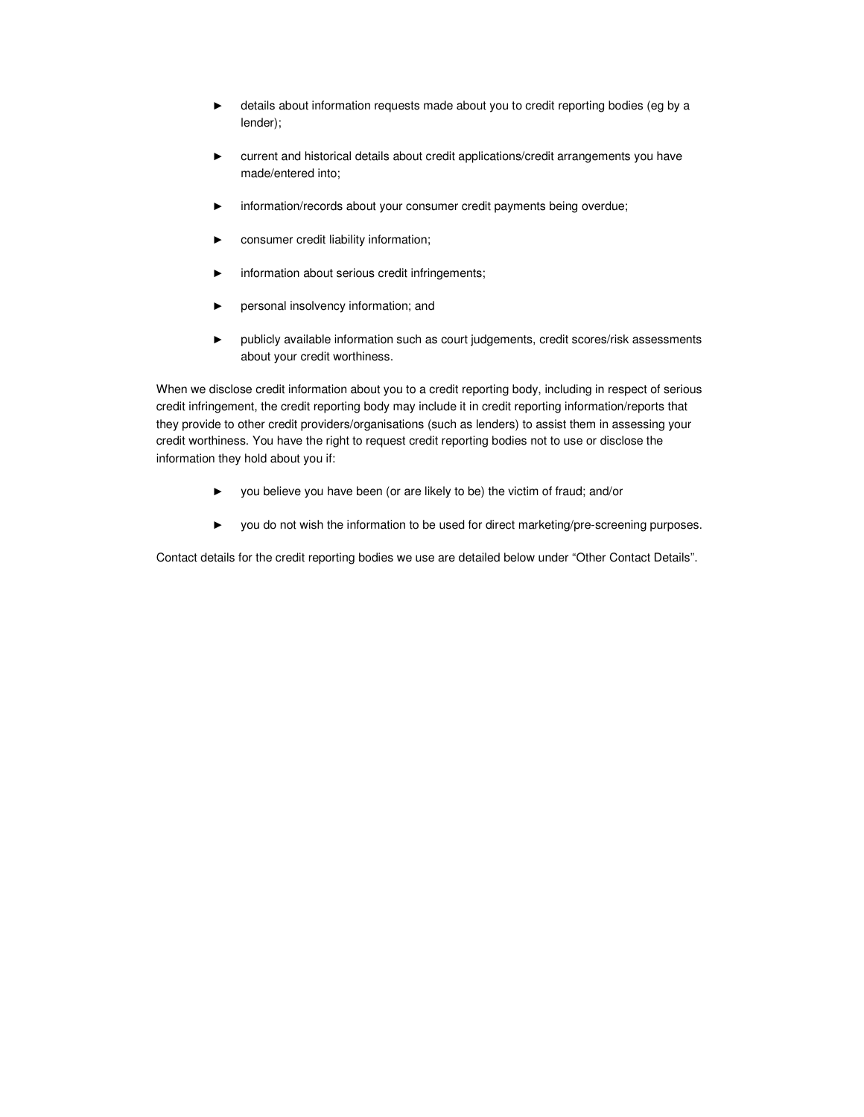- ► details about information requests made about you to credit reporting bodies (eg by a lender);
- ► current and historical details about credit applications/credit arrangements you have made/entered into;
- information/records about your consumer credit payments being overdue;
- consumer credit liability information;
- information about serious credit infringements;
- ► personal insolvency information; and
- ► publicly available information such as court judgements, credit scores/risk assessments about your credit worthiness.

When we disclose credit information about you to a credit reporting body, including in respect of serious credit infringement, the credit reporting body may include it in credit reporting information/reports that they provide to other credit providers/organisations (such as lenders) to assist them in assessing your credit worthiness. You have the right to request credit reporting bodies not to use or disclose the information they hold about you if:

- ► you believe you have been (or are likely to be) the victim of fraud; and/or
- ► you do not wish the information to be used for direct marketing/pre-screening purposes.

Contact details for the credit reporting bodies we use are detailed below under "Other Contact Details".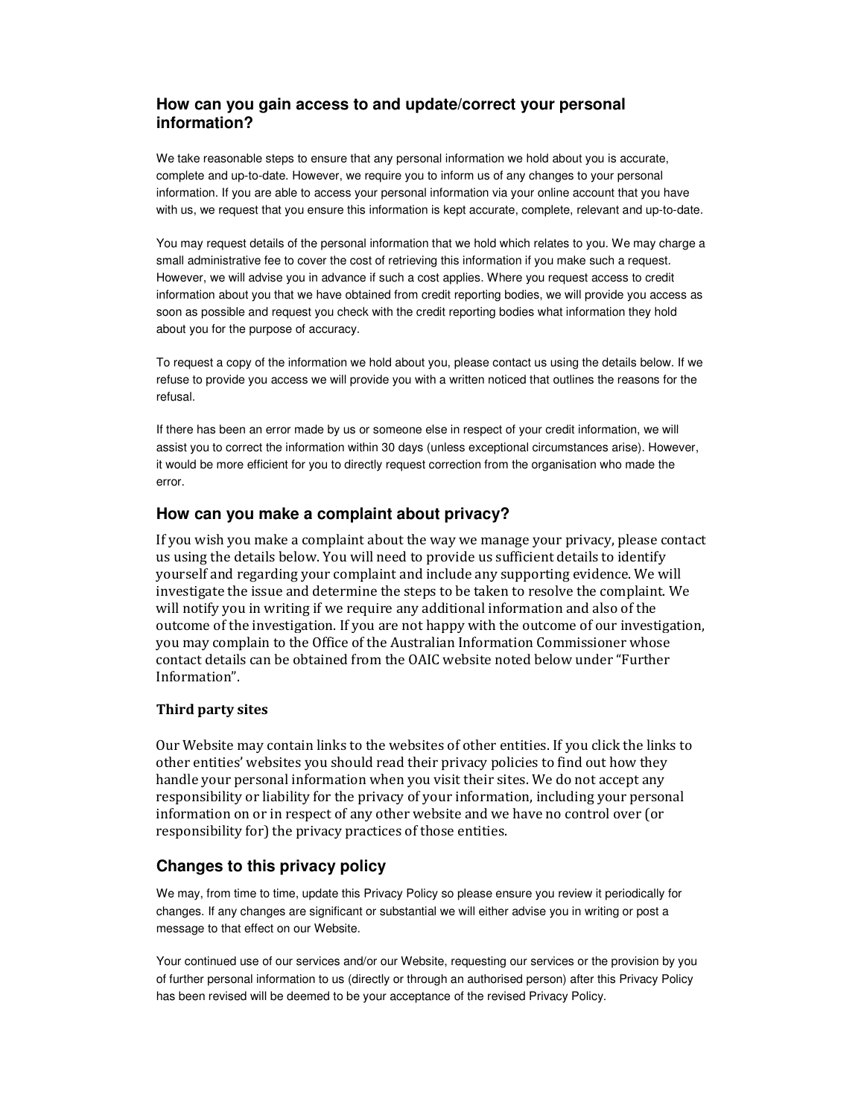# **How can you gain access to and update/correct your personal information?**

We take reasonable steps to ensure that any personal information we hold about you is accurate, complete and up-to-date. However, we require you to inform us of any changes to your personal information. If you are able to access your personal information via your online account that you have with us, we request that you ensure this information is kept accurate, complete, relevant and up-to-date.

You may request details of the personal information that we hold which relates to you. We may charge a small administrative fee to cover the cost of retrieving this information if you make such a request. However, we will advise you in advance if such a cost applies. Where you request access to credit information about you that we have obtained from credit reporting bodies, we will provide you access as soon as possible and request you check with the credit reporting bodies what information they hold about you for the purpose of accuracy.

To request a copy of the information we hold about you, please contact us using the details below. If we refuse to provide you access we will provide you with a written noticed that outlines the reasons for the refusal.

If there has been an error made by us or someone else in respect of your credit information, we will assist you to correct the information within 30 days (unless exceptional circumstances arise). However, it would be more efficient for you to directly request correction from the organisation who made the error.

## **How can you make a complaint about privacy?**

If you wish you make a complaint about the way we manage your privacy, please contact us using the details below. You will need to provide us sufficient details to identify yourself and regarding your complaint and include any supporting evidence. We will investigate the issue and determine the steps to be taken to resolve the complaint. We will notify you in writing if we require any additional information and also of the outcome of the investigation. If you are not happy with the outcome of our investigation, you may complain to the Office of the Australian Information Commissioner whose contact details can be obtained from the OAIC website noted below under "Further Information".

## **Third party sites**

Our Website may contain links to the websites of other entities. If you click the links to other entities' websites you should read their privacy policies to find out how they handle your personal information when you visit their sites. We do not accept any responsibility or liability for the privacy of your information, including your personal information on or in respect of any other website and we have no control over (or responsibility for) the privacy practices of those entities.

# **Changes to this privacy policy**

We may, from time to time, update this Privacy Policy so please ensure you review it periodically for changes. If any changes are significant or substantial we will either advise you in writing or post a message to that effect on our Website.

Your continued use of our services and/or our Website, requesting our services or the provision by you of further personal information to us (directly or through an authorised person) after this Privacy Policy has been revised will be deemed to be your acceptance of the revised Privacy Policy.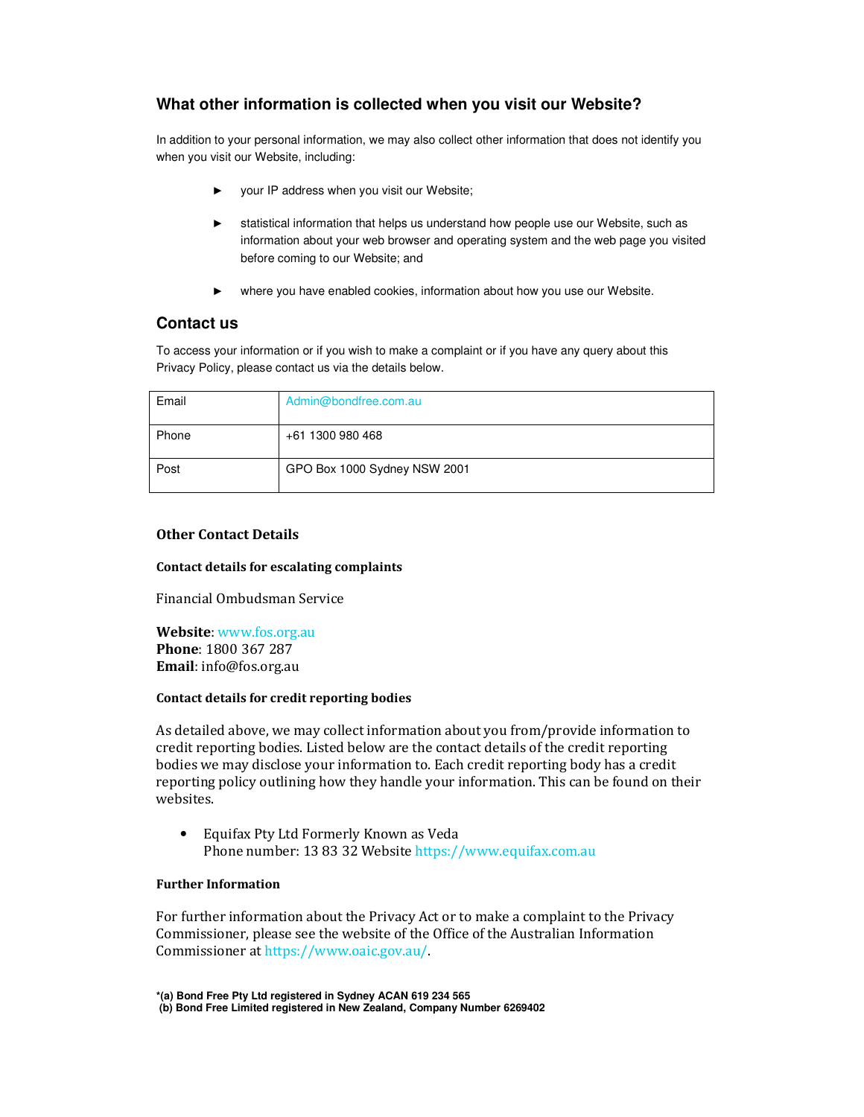# **What other information is collected when you visit our Website?**

In addition to your personal information, we may also collect other information that does not identify you when you visit our Website, including:

- ► your IP address when you visit our Website;
- statistical information that helps us understand how people use our Website, such as information about your web browser and operating system and the web page you visited before coming to our Website; and
- ► where you have enabled cookies, information about how you use our Website.

## **Contact us**

To access your information or if you wish to make a complaint or if you have any query about this Privacy Policy, please contact us via the details below.

| Email | Admin@bondfree.com.au        |
|-------|------------------------------|
| Phone | +61 1300 980 468             |
| Post  | GPO Box 1000 Sydney NSW 2001 |

#### **Other Contact Details**

#### **Contact details for escalating complaints**

Financial Ombudsman Service

**Website**: www.fos.org.au **Phone**: 1800 367 287 **Email**: info@fos.org.au

#### **Contact details for credit reporting bodies**

As detailed above, we may collect information about you from/provide information to credit reporting bodies. Listed below are the contact details of the credit reporting bodies we may disclose your information to. Each credit reporting body has a credit reporting policy outlining how they handle your information. This can be found on their websites.

• Equifax Pty Ltd Formerly Known as Veda Phone number: 13 83 32 Website https://www.equifax.com.au

#### **Further Information**

For further information about the Privacy Act or to make a complaint to the Privacy Commissioner, please see the website of the Office of the Australian Information Commissioner at https://www.oaic.gov.au/.

**<sup>\*(</sup>a) Bond Free Pty Ltd registered in Sydney ACAN 619 234 565 (b) Bond Free Limited registered in New Zealand, Company Number 6269402**